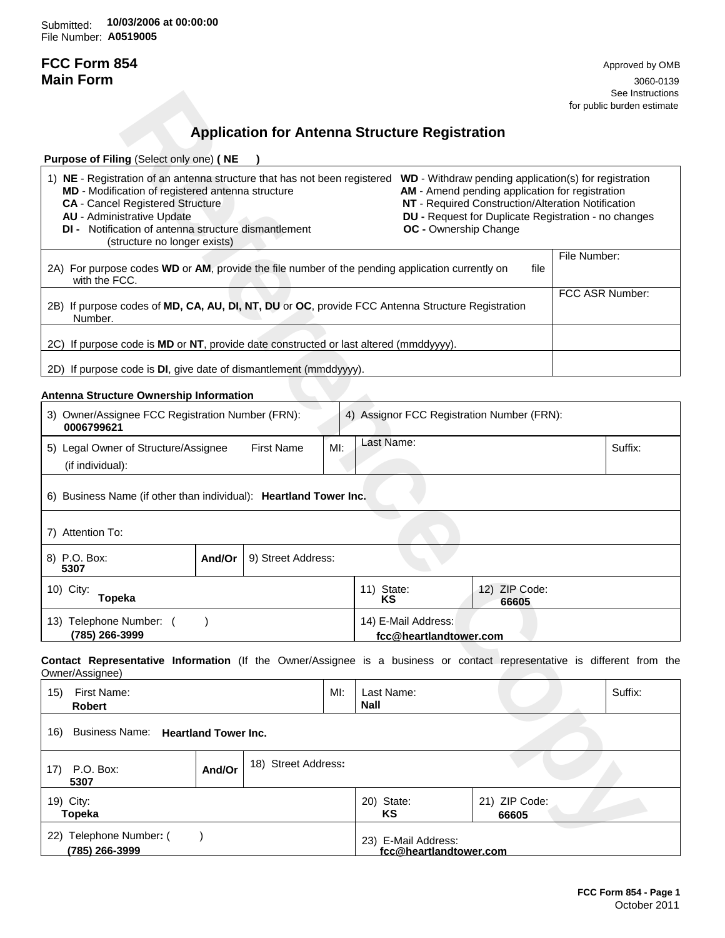Submitted: **10/03/2006 at 00:00:00**File Number: **A0519005**

# **FCC Form 854** Approved by OMB

**Main Form** 3060-0139 See Instructions and the set of the set of the set of the set of the set of the set of the set of the set of the set of the set of the set of the set of the set of the set of the set of the set of the set of the set of the for public burden estimate

## **Application for Antenna Structure Registration**

| <b>Purpose of Filing (Select only one) (NE</b>                                                                                                                                                                                                                                                                                                                                                                                                                                                                                                                                                  |      |                 |  |  |
|-------------------------------------------------------------------------------------------------------------------------------------------------------------------------------------------------------------------------------------------------------------------------------------------------------------------------------------------------------------------------------------------------------------------------------------------------------------------------------------------------------------------------------------------------------------------------------------------------|------|-----------------|--|--|
| NE - Registration of an antenna structure that has not been registered<br><b>WD</b> - Withdraw pending application(s) for registration<br>1)<br>AM - Amend pending application for registration<br><b>MD</b> - Modification of registered antenna structure<br>NT - Required Construction/Alteration Notification<br><b>CA</b> - Cancel Registered Structure<br><b>AU</b> - Administrative Update<br><b>DU</b> - Request for Duplicate Registration - no changes<br><b>DI</b> - Notification of antenna structure dismantlement<br><b>OC</b> - Ownership Change<br>(structure no longer exists) |      |                 |  |  |
| 2A) For purpose codes WD or AM, provide the file number of the pending application currently on<br>with the FCC.                                                                                                                                                                                                                                                                                                                                                                                                                                                                                | file | File Number:    |  |  |
| 2B) If purpose codes of MD, CA, AU, DI, NT, DU or OC, provide FCC Antenna Structure Registration<br>Number.                                                                                                                                                                                                                                                                                                                                                                                                                                                                                     |      | FCC ASR Number: |  |  |
| 2C) If purpose code is MD or NT, provide date constructed or last altered (mmddyyyy).                                                                                                                                                                                                                                                                                                                                                                                                                                                                                                           |      |                 |  |  |
| 2D) If purpose code is <b>DI</b> , give date of dismantlement (mmddyyyy).                                                                                                                                                                                                                                                                                                                                                                                                                                                                                                                       |      |                 |  |  |

### **Antenna Structure Ownership Information**

|                                                                                                                                                                                                                                                                                                                                                                     |        |                                                       |     |                           |                                               |                                                                                                                                                               |                 | See Instructions<br>for public burden estimate |
|---------------------------------------------------------------------------------------------------------------------------------------------------------------------------------------------------------------------------------------------------------------------------------------------------------------------------------------------------------------------|--------|-------------------------------------------------------|-----|---------------------------|-----------------------------------------------|---------------------------------------------------------------------------------------------------------------------------------------------------------------|-----------------|------------------------------------------------|
|                                                                                                                                                                                                                                                                                                                                                                     |        | <b>Application for Antenna Structure Registration</b> |     |                           |                                               |                                                                                                                                                               |                 |                                                |
| Purpose of Filing (Select only one) (NE                                                                                                                                                                                                                                                                                                                             |        |                                                       |     |                           |                                               |                                                                                                                                                               |                 |                                                |
| 1) NE - Registration of an antenna structure that has not been registered WD - Withdraw pending application(s) for registration<br>MD - Modification of registered antenna structure<br><b>CA</b> - Cancel Registered Structure<br><b>AU</b> - Administrative Update<br><b>DI</b> - Notification of antenna structure dismantlement<br>(structure no longer exists) |        |                                                       |     |                           | <b>OC</b> - Ownership Change                  | AM - Amend pending application for registration<br>NT - Required Construction/Alteration Notification<br>DU - Request for Duplicate Registration - no changes |                 |                                                |
| 2A) For purpose codes WD or AM, provide the file number of the pending application currently on<br>with the FCC.                                                                                                                                                                                                                                                    |        |                                                       |     |                           |                                               | file                                                                                                                                                          | File Number:    |                                                |
| 2B) If purpose codes of MD, CA, AU, DI, NT, DU or OC, provide FCC Antenna Structure Registration<br>Number.                                                                                                                                                                                                                                                         |        |                                                       |     |                           |                                               |                                                                                                                                                               | FCC ASR Number: |                                                |
| 2C) If purpose code is MD or NT, provide date constructed or last altered (mmddyyyy).                                                                                                                                                                                                                                                                               |        |                                                       |     |                           |                                               |                                                                                                                                                               |                 |                                                |
| 2D) If purpose code is DI, give date of dismantlement (mmddyyyy).                                                                                                                                                                                                                                                                                                   |        |                                                       |     |                           |                                               |                                                                                                                                                               |                 |                                                |
| Antenna Structure Ownership Information                                                                                                                                                                                                                                                                                                                             |        |                                                       |     |                           |                                               |                                                                                                                                                               |                 |                                                |
| 3) Owner/Assignee FCC Registration Number (FRN):<br>0006799621                                                                                                                                                                                                                                                                                                      |        |                                                       |     |                           |                                               | 4) Assignor FCC Registration Number (FRN):                                                                                                                    |                 |                                                |
| 5) Legal Owner of Structure/Assignee<br>(if individual):                                                                                                                                                                                                                                                                                                            |        | <b>First Name</b>                                     | MI: | Last Name:                |                                               |                                                                                                                                                               |                 | Suffix:                                        |
| 6) Business Name (if other than individual): Heartland Tower Inc.                                                                                                                                                                                                                                                                                                   |        |                                                       |     |                           |                                               |                                                                                                                                                               |                 |                                                |
| 7) Attention To:                                                                                                                                                                                                                                                                                                                                                    |        |                                                       |     |                           |                                               |                                                                                                                                                               |                 |                                                |
| 8) P.O. Box:<br>5307                                                                                                                                                                                                                                                                                                                                                | And/Or | 9) Street Address:                                    |     |                           |                                               |                                                                                                                                                               |                 |                                                |
| 10) City:<br><b>Topeka</b>                                                                                                                                                                                                                                                                                                                                          |        |                                                       |     | 11) State:<br>KS          |                                               | 12) ZIP Code:<br>66605                                                                                                                                        |                 |                                                |
| 13) Telephone Number: ()<br>(785) 266-3999                                                                                                                                                                                                                                                                                                                          |        |                                                       |     |                           | 14) E-Mail Address:<br>fcc@heartlandtower.com |                                                                                                                                                               |                 |                                                |
| Contact Representative Information (If the Owner/Assignee is a business or contact representative is different from the<br>Owner/Assignee)                                                                                                                                                                                                                          |        |                                                       |     |                           |                                               |                                                                                                                                                               |                 |                                                |
| 15) First Name:<br>Robert                                                                                                                                                                                                                                                                                                                                           |        |                                                       | MI: | Last Name:<br><b>Nall</b> |                                               |                                                                                                                                                               |                 | Suffix:                                        |
| Business Name: Heartland Tower Inc.<br>16)                                                                                                                                                                                                                                                                                                                          |        |                                                       |     |                           |                                               |                                                                                                                                                               |                 |                                                |
| 17) P.O. Box:<br>5307                                                                                                                                                                                                                                                                                                                                               | And/Or | 18) Street Address:                                   |     |                           |                                               |                                                                                                                                                               |                 |                                                |
| 19) City:<br><b>Topeka</b>                                                                                                                                                                                                                                                                                                                                          |        |                                                       |     | 20) State:<br>ΚS          |                                               | 21) ZIP Code:<br>66605                                                                                                                                        |                 |                                                |
| 22) Telephone Number: (<br>(785) 266-3999                                                                                                                                                                                                                                                                                                                           |        |                                                       |     |                           | 23) E-Mail Address:<br>fcc@heartlandtower.com |                                                                                                                                                               |                 |                                                |

| 15)                        | First Name:<br>Robert                 |        |                     | $Ml$ :                 | Last Name:<br><b>Nall</b>                        |  | Suffix: |
|----------------------------|---------------------------------------|--------|---------------------|------------------------|--------------------------------------------------|--|---------|
| 16)                        | Business Name: Heartland Tower Inc.   |        |                     |                        |                                                  |  |         |
| 17)                        | P.O. Box:<br>5307                     | And/Or | 18) Street Address: |                        |                                                  |  |         |
| 19) City:<br><b>Topeka</b> |                                       |        | 20) State:<br>KS    | 21) ZIP Code:<br>66605 |                                                  |  |         |
| (22)                       | Telephone Number: (<br>(785) 266-3999 |        |                     |                        | E-Mail Address:<br>23)<br>fcc@heartlandtower.com |  |         |